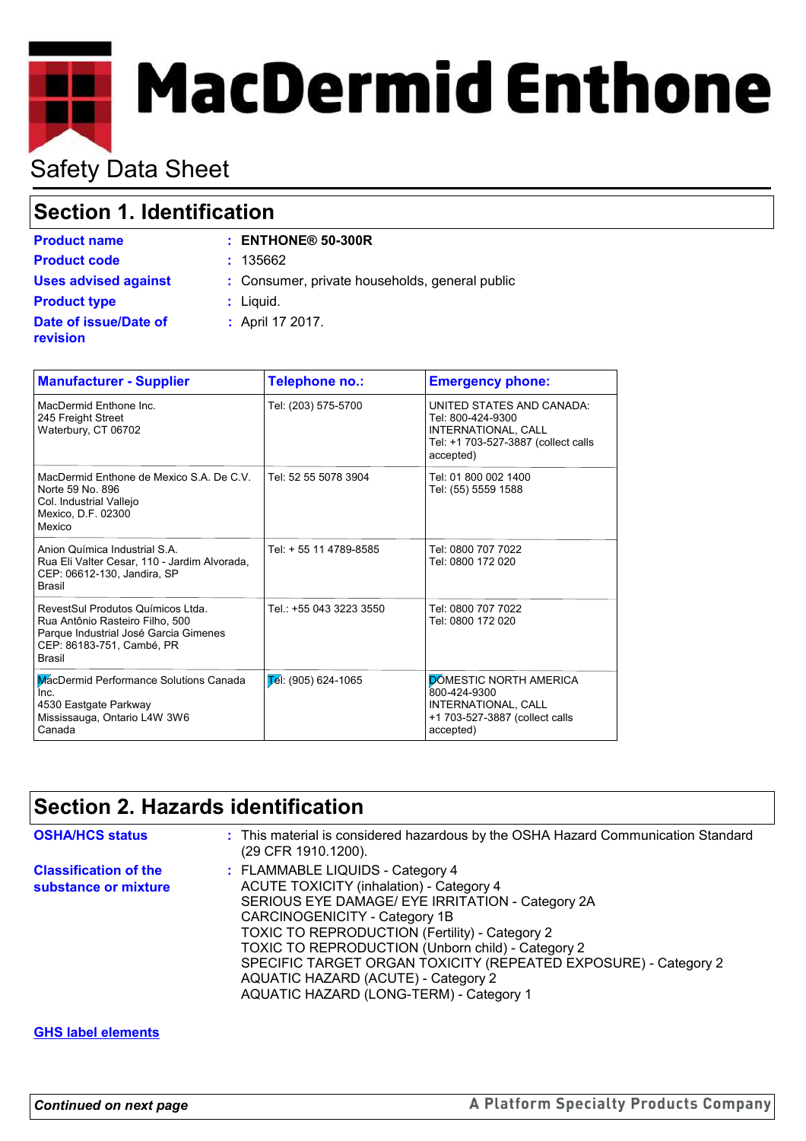# **MacDermid Enthone**

# Safety Data Sheet

**revision**

## **Section 1. Identification**

| <b>Product name</b>         | $:$ ENTHONE <sup>®</sup> 50-300R               |
|-----------------------------|------------------------------------------------|
| <b>Product code</b>         | : 135662                                       |
| <b>Uses advised against</b> | : Consumer, private households, general public |
| <b>Product type</b>         | $:$ Liquid.                                    |
| Date of issue/Date of       | : April 17 2017.                               |

| <b>Manufacturer - Supplier</b>                                                                                                                              | Telephone no.:          | <b>Emergency phone:</b>                                                                                                   |
|-------------------------------------------------------------------------------------------------------------------------------------------------------------|-------------------------|---------------------------------------------------------------------------------------------------------------------------|
| MacDermid Enthone Inc.<br>245 Freight Street<br>Waterbury, CT 06702                                                                                         | Tel: (203) 575-5700     | UNITED STATES AND CANADA:<br>Tel: 800-424-9300<br>INTERNATIONAL, CALL<br>Tel: +1 703-527-3887 (collect calls<br>accepted) |
| MacDermid Enthone de Mexico S.A. De C.V.<br>Norte 59 No. 896<br>Col. Industrial Vallejo<br>Mexico, D.F. 02300<br>Mexico                                     | Tel: 52 55 5078 3904    | Tel: 01 800 002 1400<br>Tel: (55) 5559 1588                                                                               |
| Anion Química Industrial S.A.<br>Rua Eli Valter Cesar, 110 - Jardim Alvorada,<br>CEP: 06612-130, Jandira, SP<br><b>Brasil</b>                               | Tel: + 55 11 4789-8585  | Tel: 0800 707 7022<br>Tel: 0800 172 020                                                                                   |
| RevestSul Produtos Químicos Ltda.<br>Rua Antônio Rasteiro Filho, 500<br>Parque Industrial José Garcia Gimenes<br>CEP: 86183-751, Cambé, PR<br><b>Brasil</b> | Tel.: +55 043 3223 3550 | Tel: 0800 707 7022<br>Tel: 0800 172 020                                                                                   |
| MacDermid Performance Solutions Canada<br>Inc.<br>4530 Eastgate Parkway<br>Mississauga, Ontario L4W 3W6<br>Canada                                           | $E$ el: (905) 624-1065  | <b>DOMESTIC NORTH AMERICA</b><br>800-424-9300<br>INTERNATIONAL, CALL<br>+1 703-527-3887 (collect calls<br>accepted)       |

# **Section 2. Hazards identification**

| <b>OSHA/HCS status</b>                               | : This material is considered hazardous by the OSHA Hazard Communication Standard<br>(29 CFR 1910.1200).                                                                                                                                                                                                                                                                                                                             |
|------------------------------------------------------|--------------------------------------------------------------------------------------------------------------------------------------------------------------------------------------------------------------------------------------------------------------------------------------------------------------------------------------------------------------------------------------------------------------------------------------|
| <b>Classification of the</b><br>substance or mixture | : FLAMMABLE LIQUIDS - Category 4<br><b>ACUTE TOXICITY (inhalation) - Category 4</b><br>SERIOUS EYE DAMAGE/ EYE IRRITATION - Category 2A<br>CARCINOGENICITY - Category 1B<br>TOXIC TO REPRODUCTION (Fertility) - Category 2<br>TOXIC TO REPRODUCTION (Unborn child) - Category 2<br>SPECIFIC TARGET ORGAN TOXICITY (REPEATED EXPOSURE) - Category 2<br>AQUATIC HAZARD (ACUTE) - Category 2<br>AQUATIC HAZARD (LONG-TERM) - Category 1 |

#### **GHS label elements**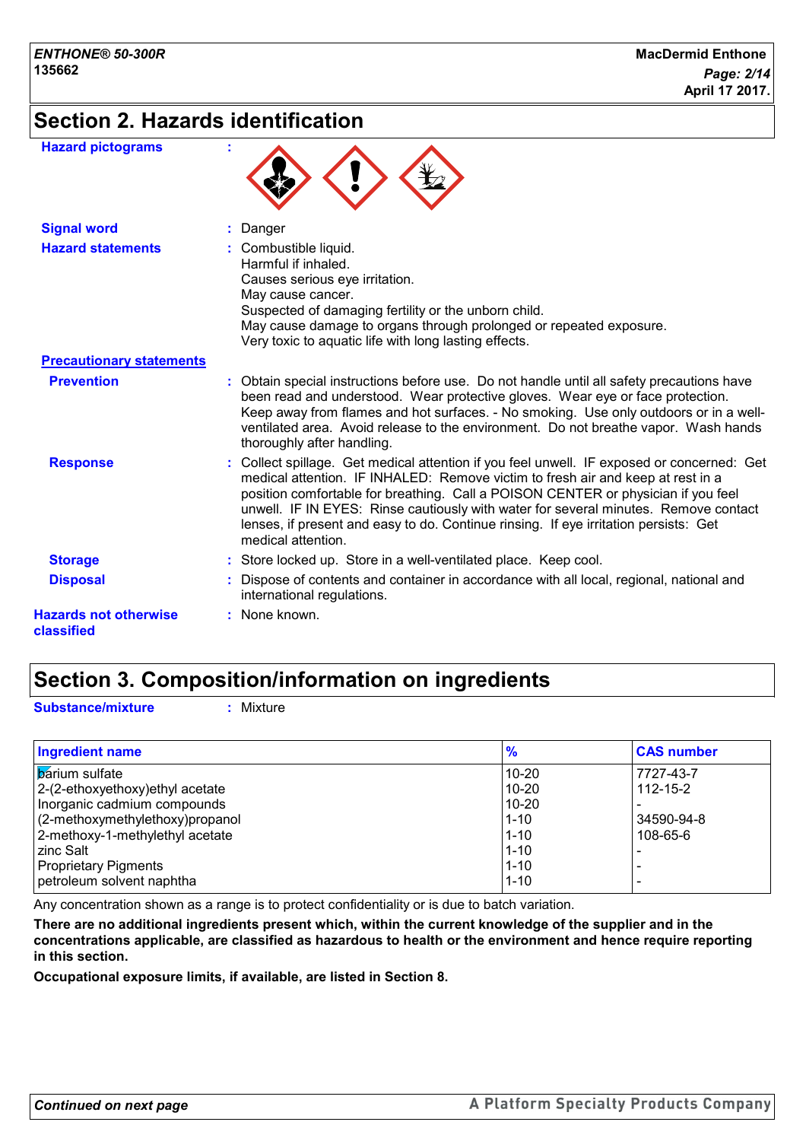## **Section 2. Hazards identification**

| <b>Hazard pictograms</b>                   |                                                                                                                                                                                                                                                                                                                                                                                                                                                                         |
|--------------------------------------------|-------------------------------------------------------------------------------------------------------------------------------------------------------------------------------------------------------------------------------------------------------------------------------------------------------------------------------------------------------------------------------------------------------------------------------------------------------------------------|
| <b>Signal word</b>                         | : Danger                                                                                                                                                                                                                                                                                                                                                                                                                                                                |
| <b>Hazard statements</b>                   | : Combustible liquid.<br>Harmful if inhaled.<br>Causes serious eye irritation.<br>May cause cancer.<br>Suspected of damaging fertility or the unborn child.<br>May cause damage to organs through prolonged or repeated exposure.<br>Very toxic to aquatic life with long lasting effects.                                                                                                                                                                              |
| <b>Precautionary statements</b>            |                                                                                                                                                                                                                                                                                                                                                                                                                                                                         |
| <b>Prevention</b>                          | : Obtain special instructions before use. Do not handle until all safety precautions have<br>been read and understood. Wear protective gloves. Wear eye or face protection.<br>Keep away from flames and hot surfaces. - No smoking. Use only outdoors or in a well-<br>ventilated area. Avoid release to the environment. Do not breathe vapor. Wash hands<br>thoroughly after handling.                                                                               |
| <b>Response</b>                            | : Collect spillage. Get medical attention if you feel unwell. IF exposed or concerned: Get<br>medical attention. IF INHALED: Remove victim to fresh air and keep at rest in a<br>position comfortable for breathing. Call a POISON CENTER or physician if you feel<br>unwell. IF IN EYES: Rinse cautiously with water for several minutes. Remove contact<br>lenses, if present and easy to do. Continue rinsing. If eye irritation persists: Get<br>medical attention. |
| <b>Storage</b>                             | : Store locked up. Store in a well-ventilated place. Keep cool.                                                                                                                                                                                                                                                                                                                                                                                                         |
| <b>Disposal</b>                            | : Dispose of contents and container in accordance with all local, regional, national and<br>international regulations.                                                                                                                                                                                                                                                                                                                                                  |
| <b>Hazards not otherwise</b><br>classified | : None known.                                                                                                                                                                                                                                                                                                                                                                                                                                                           |

## **Section 3. Composition/information on ingredients**

**Substance/mixture :** Mixture

| <b>Ingredient name</b>           | $\frac{9}{6}$ | <b>CAS number</b> |
|----------------------------------|---------------|-------------------|
| <b>b</b> arium sulfate           | 10-20         | 7727-43-7         |
| 2-(2-ethoxyethoxy) ethyl acetate | $10-20$       | $112 - 15 - 2$    |
| Inorganic cadmium compounds      | 10-20         |                   |
| (2-methoxymethylethoxy)propanol  | 11-10         | 34590-94-8        |
| 2-methoxy-1-methylethyl acetate  | 11-10         | 108-65-6          |
| <b>zinc Salt</b>                 | $1 - 10$      |                   |
| <b>Proprietary Pigments</b>      | $1 - 10$      |                   |
| petroleum solvent naphtha        | $1 - 10$      |                   |

Any concentration shown as a range is to protect confidentiality or is due to batch variation.

**There are no additional ingredients present which, within the current knowledge of the supplier and in the concentrations applicable, are classified as hazardous to health or the environment and hence require reporting in this section.**

**Occupational exposure limits, if available, are listed in Section 8.**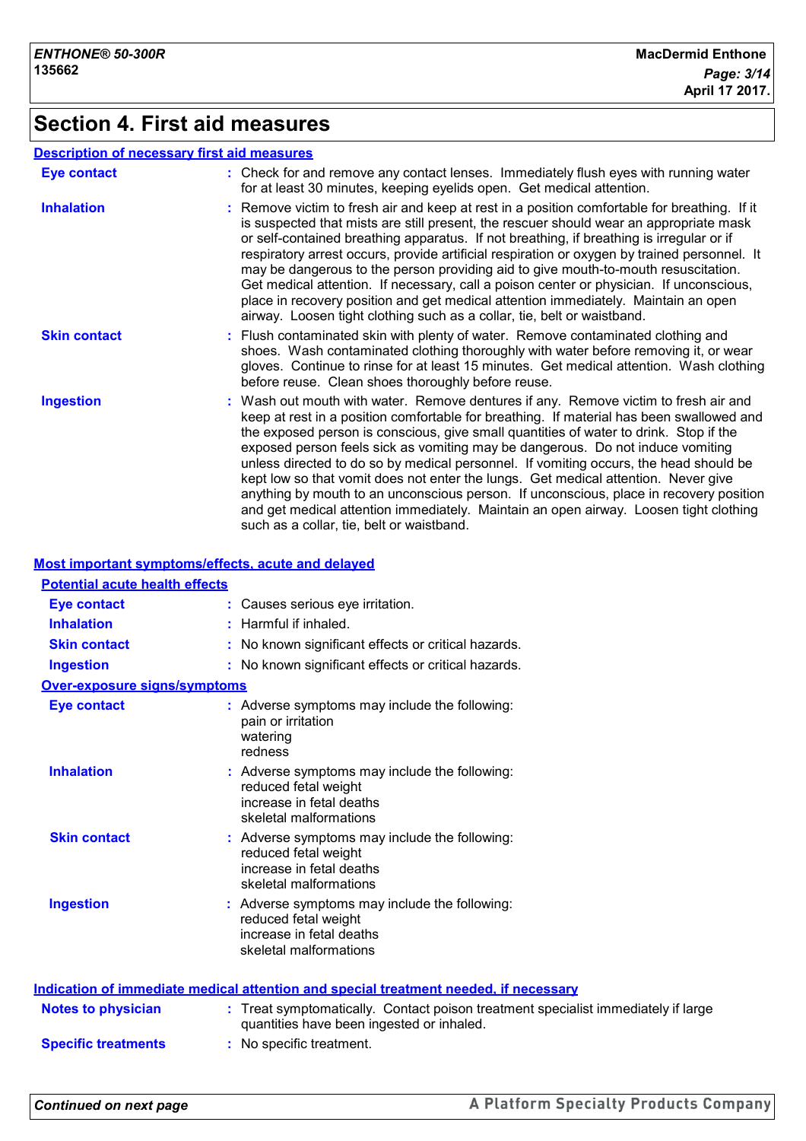## **Section 4. First aid measures**

#### **Description of necessary first aid measures**

| <b>Eye contact</b>  | : Check for and remove any contact lenses. Immediately flush eyes with running water<br>for at least 30 minutes, keeping eyelids open. Get medical attention.                                                                                                                                                                                                                                                                                                                                                                                                                                                                                                                                                                                                             |
|---------------------|---------------------------------------------------------------------------------------------------------------------------------------------------------------------------------------------------------------------------------------------------------------------------------------------------------------------------------------------------------------------------------------------------------------------------------------------------------------------------------------------------------------------------------------------------------------------------------------------------------------------------------------------------------------------------------------------------------------------------------------------------------------------------|
| <b>Inhalation</b>   | : Remove victim to fresh air and keep at rest in a position comfortable for breathing. If it<br>is suspected that mists are still present, the rescuer should wear an appropriate mask<br>or self-contained breathing apparatus. If not breathing, if breathing is irregular or if<br>respiratory arrest occurs, provide artificial respiration or oxygen by trained personnel. It<br>may be dangerous to the person providing aid to give mouth-to-mouth resuscitation.<br>Get medical attention. If necessary, call a poison center or physician. If unconscious,<br>place in recovery position and get medical attention immediately. Maintain an open<br>airway. Loosen tight clothing such as a collar, tie, belt or waistband.                                      |
| <b>Skin contact</b> | : Flush contaminated skin with plenty of water. Remove contaminated clothing and<br>shoes. Wash contaminated clothing thoroughly with water before removing it, or wear<br>gloves. Continue to rinse for at least 15 minutes. Get medical attention. Wash clothing<br>before reuse. Clean shoes thoroughly before reuse.                                                                                                                                                                                                                                                                                                                                                                                                                                                  |
| <b>Ingestion</b>    | : Wash out mouth with water. Remove dentures if any. Remove victim to fresh air and<br>keep at rest in a position comfortable for breathing. If material has been swallowed and<br>the exposed person is conscious, give small quantities of water to drink. Stop if the<br>exposed person feels sick as vomiting may be dangerous. Do not induce vomiting<br>unless directed to do so by medical personnel. If vomiting occurs, the head should be<br>kept low so that vomit does not enter the lungs. Get medical attention. Never give<br>anything by mouth to an unconscious person. If unconscious, place in recovery position<br>and get medical attention immediately. Maintain an open airway. Loosen tight clothing<br>such as a collar, tie, belt or waistband. |

#### **Most important symptoms/effects, acute and delayed**

| <b>Potential acute health effects</b> |                                                                                                                                |
|---------------------------------------|--------------------------------------------------------------------------------------------------------------------------------|
| <b>Eye contact</b>                    | Causes serious eye irritation.                                                                                                 |
| <b>Inhalation</b>                     | Harmful if inhaled.                                                                                                            |
| <b>Skin contact</b>                   | No known significant effects or critical hazards.                                                                              |
| <b>Ingestion</b>                      | : No known significant effects or critical hazards.                                                                            |
| <b>Over-exposure signs/symptoms</b>   |                                                                                                                                |
| <b>Eye contact</b>                    | : Adverse symptoms may include the following:<br>pain or irritation<br>watering<br>redness                                     |
| <b>Inhalation</b>                     | : Adverse symptoms may include the following:<br>reduced fetal weight<br>increase in fetal deaths<br>skeletal malformations    |
| <b>Skin contact</b>                   | : Adverse symptoms may include the following:<br>reduced fetal weight<br>increase in fetal deaths<br>skeletal malformations    |
| <b>Ingestion</b>                      | : Adverse symptoms may include the following:<br>reduced fetal weight<br>increase in fetal deaths<br>skeletal malformations    |
|                                       | <b>Indication of immediate medical attention and special treatment needed, if necessary</b>                                    |
| <b>Notes to physician</b>             | : Treat symptomatically. Contact poison treatment specialist immediately if large<br>quantities have been ingested or inhaled. |
| <b>Specific treatments</b>            | : No specific treatment.                                                                                                       |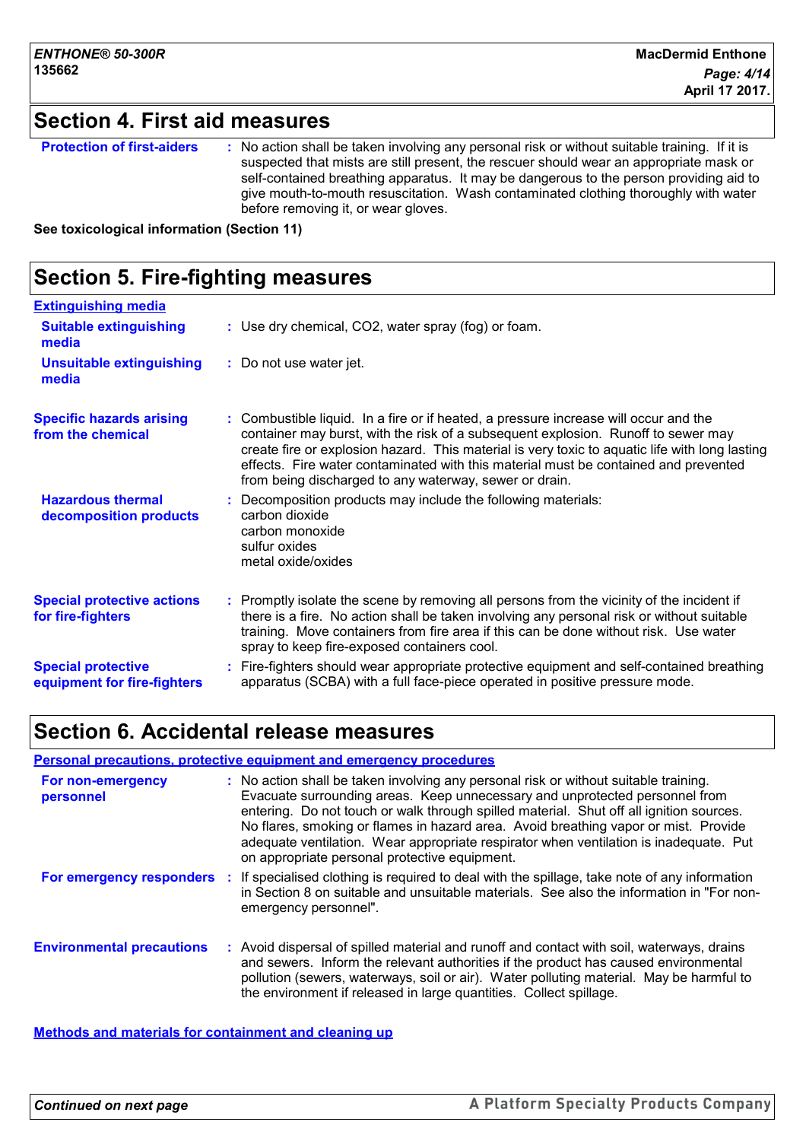## **Section 4. First aid measures**

| <b>Protection of first-aiders</b> | : No action shall be taken involving any personal risk or without suitable training. If it is<br>suspected that mists are still present, the rescuer should wear an appropriate mask or<br>self-contained breathing apparatus. It may be dangerous to the person providing aid to<br>give mouth-to-mouth resuscitation. Wash contaminated clothing thoroughly with water<br>before removing it, or wear gloves. |
|-----------------------------------|-----------------------------------------------------------------------------------------------------------------------------------------------------------------------------------------------------------------------------------------------------------------------------------------------------------------------------------------------------------------------------------------------------------------|
|-----------------------------------|-----------------------------------------------------------------------------------------------------------------------------------------------------------------------------------------------------------------------------------------------------------------------------------------------------------------------------------------------------------------------------------------------------------------|

**See toxicological information (Section 11)**

| <b>Section 5. Fire-fighting measures</b>                 |                                                                                                                                                                                                                                                                                                                                                                                                                              |  |
|----------------------------------------------------------|------------------------------------------------------------------------------------------------------------------------------------------------------------------------------------------------------------------------------------------------------------------------------------------------------------------------------------------------------------------------------------------------------------------------------|--|
| <b>Extinguishing media</b>                               |                                                                                                                                                                                                                                                                                                                                                                                                                              |  |
| <b>Suitable extinguishing</b><br>media                   | : Use dry chemical, CO2, water spray (fog) or foam.                                                                                                                                                                                                                                                                                                                                                                          |  |
| <b>Unsuitable extinguishing</b><br>media                 | : Do not use water jet.                                                                                                                                                                                                                                                                                                                                                                                                      |  |
| <b>Specific hazards arising</b><br>from the chemical     | : Combustible liquid. In a fire or if heated, a pressure increase will occur and the<br>container may burst, with the risk of a subsequent explosion. Runoff to sewer may<br>create fire or explosion hazard. This material is very toxic to aquatic life with long lasting<br>effects. Fire water contaminated with this material must be contained and prevented<br>from being discharged to any waterway, sewer or drain. |  |
| <b>Hazardous thermal</b><br>decomposition products       | Decomposition products may include the following materials:<br>carbon dioxide<br>carbon monoxide<br>sulfur oxides<br>metal oxide/oxides                                                                                                                                                                                                                                                                                      |  |
| <b>Special protective actions</b><br>for fire-fighters   | Promptly isolate the scene by removing all persons from the vicinity of the incident if<br>there is a fire. No action shall be taken involving any personal risk or without suitable<br>training. Move containers from fire area if this can be done without risk. Use water<br>spray to keep fire-exposed containers cool.                                                                                                  |  |
| <b>Special protective</b><br>equipment for fire-fighters | Fire-fighters should wear appropriate protective equipment and self-contained breathing<br>apparatus (SCBA) with a full face-piece operated in positive pressure mode.                                                                                                                                                                                                                                                       |  |

### **Section 6. Accidental release measures**

#### **Personal precautions, protective equipment and emergency procedures**

| For non-emergency<br>personnel   | : No action shall be taken involving any personal risk or without suitable training.<br>Evacuate surrounding areas. Keep unnecessary and unprotected personnel from<br>entering. Do not touch or walk through spilled material. Shut off all ignition sources.<br>No flares, smoking or flames in hazard area. Avoid breathing vapor or mist. Provide<br>adequate ventilation. Wear appropriate respirator when ventilation is inadequate. Put<br>on appropriate personal protective equipment. |
|----------------------------------|-------------------------------------------------------------------------------------------------------------------------------------------------------------------------------------------------------------------------------------------------------------------------------------------------------------------------------------------------------------------------------------------------------------------------------------------------------------------------------------------------|
| For emergency responders         | If specialised clothing is required to deal with the spillage, take note of any information<br>in Section 8 on suitable and unsuitable materials. See also the information in "For non-<br>emergency personnel".                                                                                                                                                                                                                                                                                |
| <b>Environmental precautions</b> | Avoid dispersal of spilled material and runoff and contact with soil, waterways, drains<br>and sewers. Inform the relevant authorities if the product has caused environmental<br>pollution (sewers, waterways, soil or air). Water polluting material. May be harmful to<br>the environment if released in large quantities. Collect spillage.                                                                                                                                                 |

**Methods and materials for containment and cleaning up**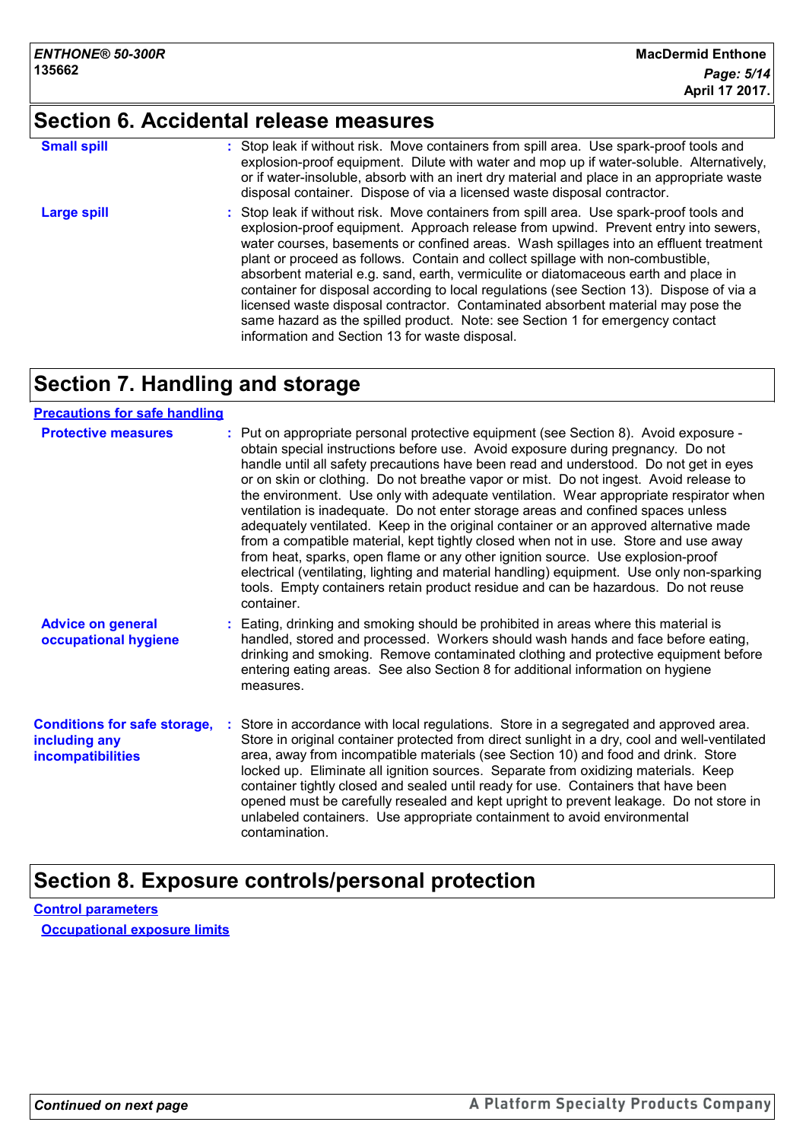# **Section 6. Accidental release measures**

| <b>Small spill</b> | : Stop leak if without risk. Move containers from spill area. Use spark-proof tools and<br>explosion-proof equipment. Dilute with water and mop up if water-soluble. Alternatively,<br>or if water-insoluble, absorb with an inert dry material and place in an appropriate waste<br>disposal container. Dispose of via a licensed waste disposal contractor.                                                                                                                                                                                                                                                                                                                                                                                                        |
|--------------------|----------------------------------------------------------------------------------------------------------------------------------------------------------------------------------------------------------------------------------------------------------------------------------------------------------------------------------------------------------------------------------------------------------------------------------------------------------------------------------------------------------------------------------------------------------------------------------------------------------------------------------------------------------------------------------------------------------------------------------------------------------------------|
| <b>Large spill</b> | : Stop leak if without risk. Move containers from spill area. Use spark-proof tools and<br>explosion-proof equipment. Approach release from upwind. Prevent entry into sewers,<br>water courses, basements or confined areas. Wash spillages into an effluent treatment<br>plant or proceed as follows. Contain and collect spillage with non-combustible,<br>absorbent material e.g. sand, earth, vermiculite or diatomaceous earth and place in<br>container for disposal according to local regulations (see Section 13). Dispose of via a<br>licensed waste disposal contractor. Contaminated absorbent material may pose the<br>same hazard as the spilled product. Note: see Section 1 for emergency contact<br>information and Section 13 for waste disposal. |

# **Section 7. Handling and storage**

#### **Precautions for safe handling**

| <b>Protective measures</b>                                                       | : Put on appropriate personal protective equipment (see Section 8). Avoid exposure -<br>obtain special instructions before use. Avoid exposure during pregnancy. Do not<br>handle until all safety precautions have been read and understood. Do not get in eyes<br>or on skin or clothing. Do not breathe vapor or mist. Do not ingest. Avoid release to<br>the environment. Use only with adequate ventilation. Wear appropriate respirator when<br>ventilation is inadequate. Do not enter storage areas and confined spaces unless<br>adequately ventilated. Keep in the original container or an approved alternative made<br>from a compatible material, kept tightly closed when not in use. Store and use away<br>from heat, sparks, open flame or any other ignition source. Use explosion-proof<br>electrical (ventilating, lighting and material handling) equipment. Use only non-sparking<br>tools. Empty containers retain product residue and can be hazardous. Do not reuse<br>container. |
|----------------------------------------------------------------------------------|-----------------------------------------------------------------------------------------------------------------------------------------------------------------------------------------------------------------------------------------------------------------------------------------------------------------------------------------------------------------------------------------------------------------------------------------------------------------------------------------------------------------------------------------------------------------------------------------------------------------------------------------------------------------------------------------------------------------------------------------------------------------------------------------------------------------------------------------------------------------------------------------------------------------------------------------------------------------------------------------------------------|
| <b>Advice on general</b><br>occupational hygiene                                 | : Eating, drinking and smoking should be prohibited in areas where this material is<br>handled, stored and processed. Workers should wash hands and face before eating,<br>drinking and smoking. Remove contaminated clothing and protective equipment before<br>entering eating areas. See also Section 8 for additional information on hygiene<br>measures.                                                                                                                                                                                                                                                                                                                                                                                                                                                                                                                                                                                                                                             |
| <b>Conditions for safe storage,</b><br>including any<br><b>incompatibilities</b> | : Store in accordance with local regulations. Store in a segregated and approved area.<br>Store in original container protected from direct sunlight in a dry, cool and well-ventilated<br>area, away from incompatible materials (see Section 10) and food and drink. Store<br>locked up. Eliminate all ignition sources. Separate from oxidizing materials. Keep<br>container tightly closed and sealed until ready for use. Containers that have been<br>opened must be carefully resealed and kept upright to prevent leakage. Do not store in<br>unlabeled containers. Use appropriate containment to avoid environmental<br>contamination.                                                                                                                                                                                                                                                                                                                                                          |

## **Section 8. Exposure controls/personal protection**

**Control parameters Occupational exposure limits**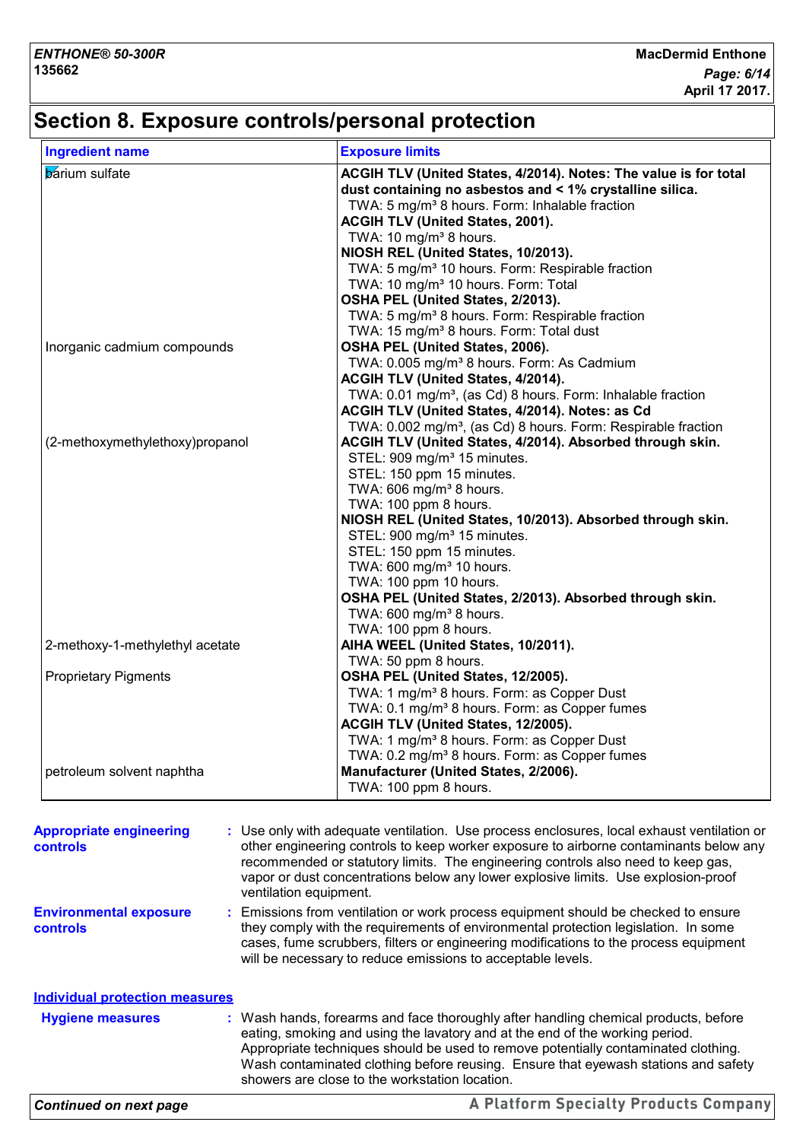## **Section 8. Exposure controls/personal protection**

| <b>Ingredient name</b>          |                        | <b>Exposure limits</b>                                                                     |
|---------------------------------|------------------------|--------------------------------------------------------------------------------------------|
| <b>b</b> arium sulfate          |                        | ACGIH TLV (United States, 4/2014). Notes: The value is for total                           |
|                                 |                        | dust containing no asbestos and < 1% crystalline silica.                                   |
|                                 |                        | TWA: 5 mg/m <sup>3</sup> 8 hours. Form: Inhalable fraction                                 |
|                                 |                        | ACGIH TLV (United States, 2001).                                                           |
|                                 |                        | TWA: 10 mg/m <sup>3</sup> 8 hours.                                                         |
|                                 |                        | NIOSH REL (United States, 10/2013).                                                        |
|                                 |                        | TWA: 5 mg/m <sup>3</sup> 10 hours. Form: Respirable fraction                               |
|                                 |                        | TWA: 10 mg/m <sup>3</sup> 10 hours. Form: Total                                            |
|                                 |                        | OSHA PEL (United States, 2/2013).                                                          |
|                                 |                        | TWA: 5 mg/m <sup>3</sup> 8 hours. Form: Respirable fraction                                |
|                                 |                        | TWA: 15 mg/m <sup>3</sup> 8 hours. Form: Total dust                                        |
| Inorganic cadmium compounds     |                        | OSHA PEL (United States, 2006).                                                            |
|                                 |                        |                                                                                            |
|                                 |                        | TWA: 0.005 mg/m <sup>3</sup> 8 hours. Form: As Cadmium                                     |
|                                 |                        | ACGIH TLV (United States, 4/2014).                                                         |
|                                 |                        | TWA: 0.01 mg/m <sup>3</sup> , (as Cd) 8 hours. Form: Inhalable fraction                    |
|                                 |                        | ACGIH TLV (United States, 4/2014). Notes: as Cd                                            |
|                                 |                        | TWA: 0.002 mg/m <sup>3</sup> , (as Cd) 8 hours. Form: Respirable fraction                  |
| (2-methoxymethylethoxy)propanol |                        | ACGIH TLV (United States, 4/2014). Absorbed through skin.                                  |
|                                 |                        | STEL: 909 mg/m <sup>3</sup> 15 minutes.                                                    |
|                                 |                        | STEL: 150 ppm 15 minutes.                                                                  |
|                                 |                        | TWA: 606 mg/m <sup>3</sup> 8 hours.                                                        |
|                                 |                        | TWA: 100 ppm 8 hours.                                                                      |
|                                 |                        | NIOSH REL (United States, 10/2013). Absorbed through skin.                                 |
|                                 |                        | STEL: 900 mg/m <sup>3</sup> 15 minutes.                                                    |
|                                 |                        | STEL: 150 ppm 15 minutes.                                                                  |
|                                 |                        | TWA: 600 mg/m <sup>3</sup> 10 hours.                                                       |
|                                 |                        | TWA: 100 ppm 10 hours.                                                                     |
|                                 |                        | OSHA PEL (United States, 2/2013). Absorbed through skin.                                   |
|                                 |                        | TWA: $600 \text{ mg/m}^3$ 8 hours.                                                         |
|                                 |                        | TWA: 100 ppm 8 hours.                                                                      |
| 2-methoxy-1-methylethyl acetate |                        | AIHA WEEL (United States, 10/2011).                                                        |
|                                 |                        | TWA: 50 ppm 8 hours.                                                                       |
| <b>Proprietary Pigments</b>     |                        | OSHA PEL (United States, 12/2005).                                                         |
|                                 |                        | TWA: 1 mg/m <sup>3</sup> 8 hours. Form: as Copper Dust                                     |
|                                 |                        | TWA: 0.1 mg/m <sup>3</sup> 8 hours. Form: as Copper fumes                                  |
|                                 |                        | ACGIH TLV (United States, 12/2005).                                                        |
|                                 |                        | TWA: 1 mg/m <sup>3</sup> 8 hours. Form: as Copper Dust                                     |
|                                 |                        |                                                                                            |
|                                 |                        | TWA: 0.2 mg/m <sup>3</sup> 8 hours. Form: as Copper fumes                                  |
| petroleum solvent naphtha       |                        | Manufacturer (United States, 2/2006).                                                      |
|                                 |                        | TWA: 100 ppm 8 hours.                                                                      |
|                                 |                        |                                                                                            |
| <b>Appropriate engineering</b>  |                        | : Use only with adequate ventilation. Use process enclosures, local exhaust ventilation or |
| controls                        |                        | other engineering controls to keep worker exposure to airborne contaminants below any      |
|                                 |                        | recommended or statutory limits. The engineering controls also need to keep gas,           |
|                                 |                        | vapor or dust concentrations below any lower explosive limits. Use explosion-proof         |
|                                 | ventilation equipment. |                                                                                            |
| <b>Environmental exposure</b>   |                        | : Emissions from ventilation or work process equipment should be checked to ensure         |
| controls                        |                        | they comply with the requirements of environmental protection legislation. In some         |
|                                 |                        | cases, fume scrubbers, filters or engineering modifications to the process equipment       |

**Hygiene measures : Individual protection measures**

Wash hands, forearms and face thoroughly after handling chemical products, before eating, smoking and using the lavatory and at the end of the working period. Appropriate techniques should be used to remove potentially contaminated clothing. Wash contaminated clothing before reusing. Ensure that eyewash stations and safety showers are close to the workstation location.

will be necessary to reduce emissions to acceptable levels.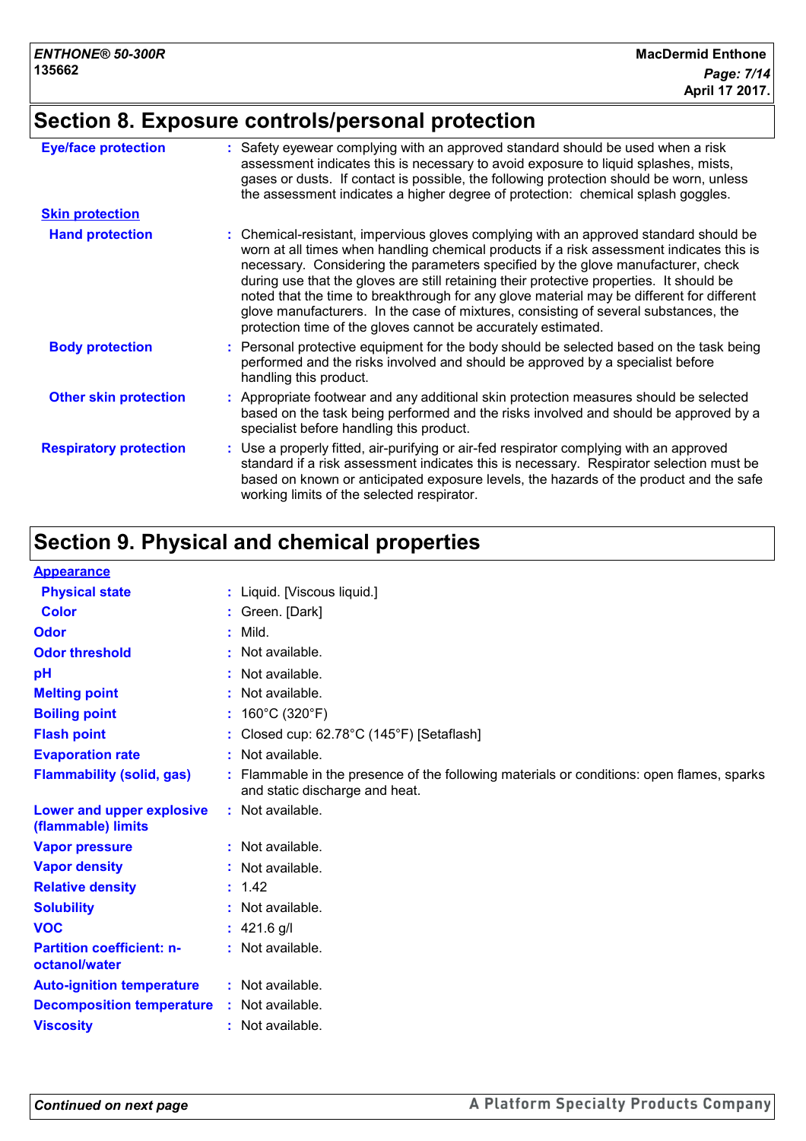# **Section 8. Exposure controls/personal protection**

| <b>Eye/face protection</b>    | : Safety eyewear complying with an approved standard should be used when a risk<br>assessment indicates this is necessary to avoid exposure to liquid splashes, mists,<br>gases or dusts. If contact is possible, the following protection should be worn, unless<br>the assessment indicates a higher degree of protection: chemical splash goggles.                                                                                                                                                                                                                                                                  |
|-------------------------------|------------------------------------------------------------------------------------------------------------------------------------------------------------------------------------------------------------------------------------------------------------------------------------------------------------------------------------------------------------------------------------------------------------------------------------------------------------------------------------------------------------------------------------------------------------------------------------------------------------------------|
| <b>Skin protection</b>        |                                                                                                                                                                                                                                                                                                                                                                                                                                                                                                                                                                                                                        |
| <b>Hand protection</b>        | : Chemical-resistant, impervious gloves complying with an approved standard should be<br>worn at all times when handling chemical products if a risk assessment indicates this is<br>necessary. Considering the parameters specified by the glove manufacturer, check<br>during use that the gloves are still retaining their protective properties. It should be<br>noted that the time to breakthrough for any glove material may be different for different<br>glove manufacturers. In the case of mixtures, consisting of several substances, the<br>protection time of the gloves cannot be accurately estimated. |
| <b>Body protection</b>        | : Personal protective equipment for the body should be selected based on the task being<br>performed and the risks involved and should be approved by a specialist before<br>handling this product.                                                                                                                                                                                                                                                                                                                                                                                                                    |
| <b>Other skin protection</b>  | : Appropriate footwear and any additional skin protection measures should be selected<br>based on the task being performed and the risks involved and should be approved by a<br>specialist before handling this product.                                                                                                                                                                                                                                                                                                                                                                                              |
| <b>Respiratory protection</b> | : Use a properly fitted, air-purifying or air-fed respirator complying with an approved<br>standard if a risk assessment indicates this is necessary. Respirator selection must be<br>based on known or anticipated exposure levels, the hazards of the product and the safe<br>working limits of the selected respirator.                                                                                                                                                                                                                                                                                             |

# **Section 9. Physical and chemical properties**

| <b>Appearance</b>                                 |    |                                                                                                                             |
|---------------------------------------------------|----|-----------------------------------------------------------------------------------------------------------------------------|
| <b>Physical state</b>                             |    | : Liquid. [Viscous liquid.]                                                                                                 |
| <b>Color</b>                                      |    | : Green. [Dark]                                                                                                             |
| Odor                                              | ÷. | Mild.                                                                                                                       |
| <b>Odor threshold</b>                             |    | Not available.                                                                                                              |
| pH                                                |    | : Not available.                                                                                                            |
| <b>Melting point</b>                              |    | : Not available.                                                                                                            |
| <b>Boiling point</b>                              |    | : $160^{\circ}$ C (320 $^{\circ}$ F)                                                                                        |
| <b>Flash point</b>                                |    | Closed cup: 62.78°C (145°F) [Setaflash]                                                                                     |
| <b>Evaporation rate</b>                           |    | : Not available.                                                                                                            |
| <b>Flammability (solid, gas)</b>                  |    | : Flammable in the presence of the following materials or conditions: open flames, sparks<br>and static discharge and heat. |
| Lower and upper explosive<br>(flammable) limits   |    | : Not available.                                                                                                            |
| <b>Vapor pressure</b>                             |    | : Not available.                                                                                                            |
| <b>Vapor density</b>                              |    | : Not available.                                                                                                            |
| <b>Relative density</b>                           |    | : 1.42                                                                                                                      |
| <b>Solubility</b>                                 |    | : Not available.                                                                                                            |
| <b>VOC</b>                                        |    | : $421.6$ g/l                                                                                                               |
| <b>Partition coefficient: n-</b><br>octanol/water |    | : Not available.                                                                                                            |
| <b>Auto-ignition temperature</b>                  |    | : Not available.                                                                                                            |
| <b>Decomposition temperature</b>                  |    | : Not available.                                                                                                            |
| <b>Viscosity</b>                                  |    | : Not available.                                                                                                            |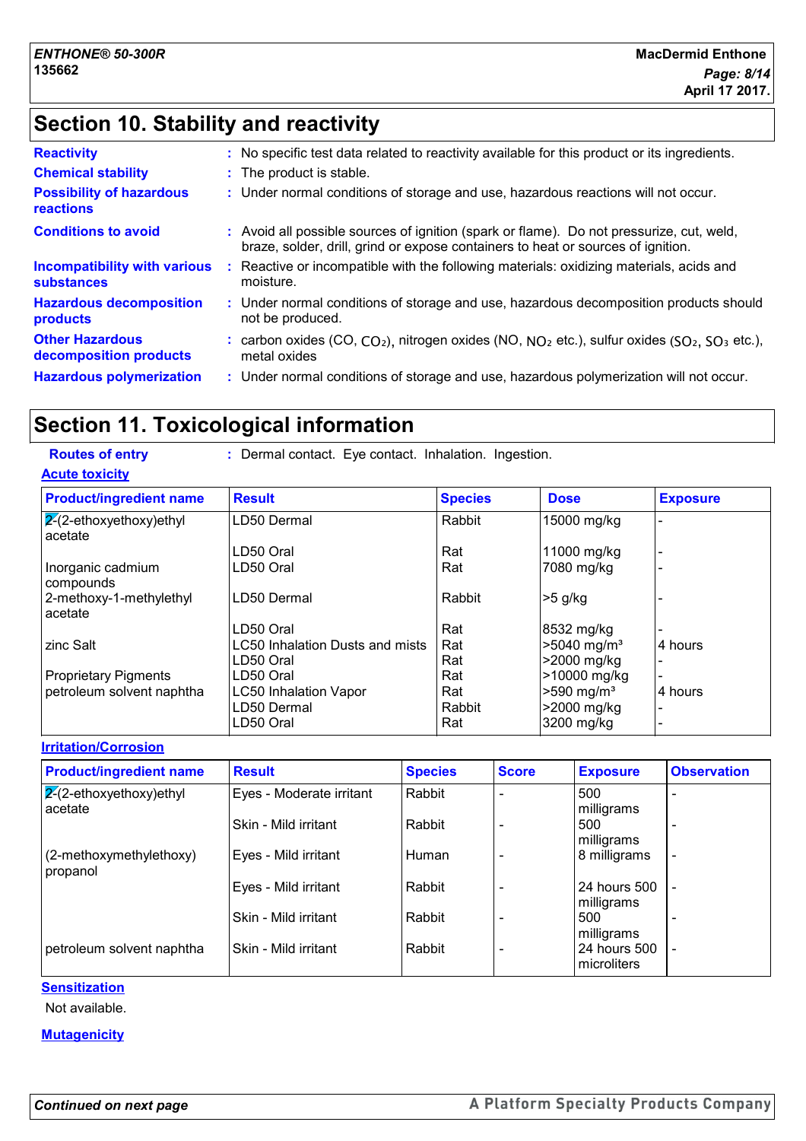## **Section 10. Stability and reactivity**

| <b>Reactivity</b>                                        | : No specific test data related to reactivity available for this product or its ingredients.                                                                                 |
|----------------------------------------------------------|------------------------------------------------------------------------------------------------------------------------------------------------------------------------------|
| <b>Chemical stability</b>                                | : The product is stable.                                                                                                                                                     |
| <b>Possibility of hazardous</b><br><b>reactions</b>      | : Under normal conditions of storage and use, hazardous reactions will not occur.                                                                                            |
| <b>Conditions to avoid</b>                               | : Avoid all possible sources of ignition (spark or flame). Do not pressurize, cut, weld,<br>braze, solder, drill, grind or expose containers to heat or sources of ignition. |
| <b>Incompatibility with various</b><br><b>substances</b> | Reactive or incompatible with the following materials: oxidizing materials, acids and<br>moisture.                                                                           |
| <b>Hazardous decomposition</b><br>products               | : Under normal conditions of storage and use, hazardous decomposition products should<br>not be produced.                                                                    |
| <b>Other Hazardous</b><br>decomposition products         | : carbon oxides (CO, $CO_2$ ), nitrogen oxides (NO, $NO_2$ etc.), sulfur oxides ( $SO_2$ , $SO_3$ etc.),<br>metal oxides                                                     |
| <b>Hazardous polymerization</b>                          | : Under normal conditions of storage and use, hazardous polymerization will not occur.                                                                                       |
|                                                          |                                                                                                                                                                              |

## **Section 11. Toxicological information**

| <b>Routes of entry</b>               | : Dermal contact. Eye contact. Inhalation. Ingestion. |                |                          |                 |  |  |  |
|--------------------------------------|-------------------------------------------------------|----------------|--------------------------|-----------------|--|--|--|
| <b>Acute toxicity</b>                |                                                       |                |                          |                 |  |  |  |
| <b>Product/ingredient name</b>       | <b>Result</b>                                         | <b>Species</b> | <b>Dose</b>              | <b>Exposure</b> |  |  |  |
| $2-(2-ethoxyethoxy)ethyl$<br>acetate | LD50 Dermal                                           | Rabbit         | 15000 mg/kg              |                 |  |  |  |
|                                      | LD50 Oral                                             | Rat            | 11000 mg/kg              |                 |  |  |  |
| Inorganic cadmium<br>compounds       | LD50 Oral                                             | Rat            | 7080 mg/kg               |                 |  |  |  |
| 2-methoxy-1-methylethyl<br>acetate   | LD50 Dermal                                           | Rabbit         | $>5$ g/kg                |                 |  |  |  |
|                                      | LD50 Oral                                             | Rat            | 8532 mg/kg               |                 |  |  |  |
| zinc Salt                            | <b>LC50 Inhalation Dusts and mists</b>                | Rat            | >5040 mg/m <sup>3</sup>  | 4 hours         |  |  |  |
|                                      | LD50 Oral                                             | Rat            | >2000 mg/kg              |                 |  |  |  |
| <b>Proprietary Pigments</b>          | LD50 Oral                                             | Rat            | >10000 mg/kg             |                 |  |  |  |
| petroleum solvent naphtha            | <b>LC50 Inhalation Vapor</b>                          | Rat            | $>590$ mg/m <sup>3</sup> | 4 hours         |  |  |  |
|                                      | LD50 Dermal                                           | Rabbit         | >2000 mg/kg              |                 |  |  |  |
|                                      | LD50 Oral                                             | Rat            | 3200 mg/kg               |                 |  |  |  |

**Irritation/Corrosion**  $2-(2-ethoxyethoxy)$ ethyl acetate Eyes - Moderate irritant  $\vert$  Rabbit  $\vert$  -  $\vert$  -  $\vert$  500 milligrams - Skin - Mild irritant  $\vert$  Rabbit  $\vert$  -  $\vert$  500 milligrams - (2-methoxymethylethoxy) propanol Eyes - Mild irritant  $\vert$ Human  $\vert$  -  $\vert$  8 milligrams Eyes - Mild irritant Rabbit - 24 hours 500 milligrams<br>500 - Skin - Mild irritant | Rabbit milligrams petroleum solvent naphtha  $\vert$ Skin - Mild irritant  $\vert$  Rabbit  $\vert$  -  $\vert$  24 hours 500  $\vert$  microliters - **Product/ingredient name** Result **Result Result Species** Score **Exposure** Observation **Species**

**Sensitization**

Not available.

#### **Mutagenicity**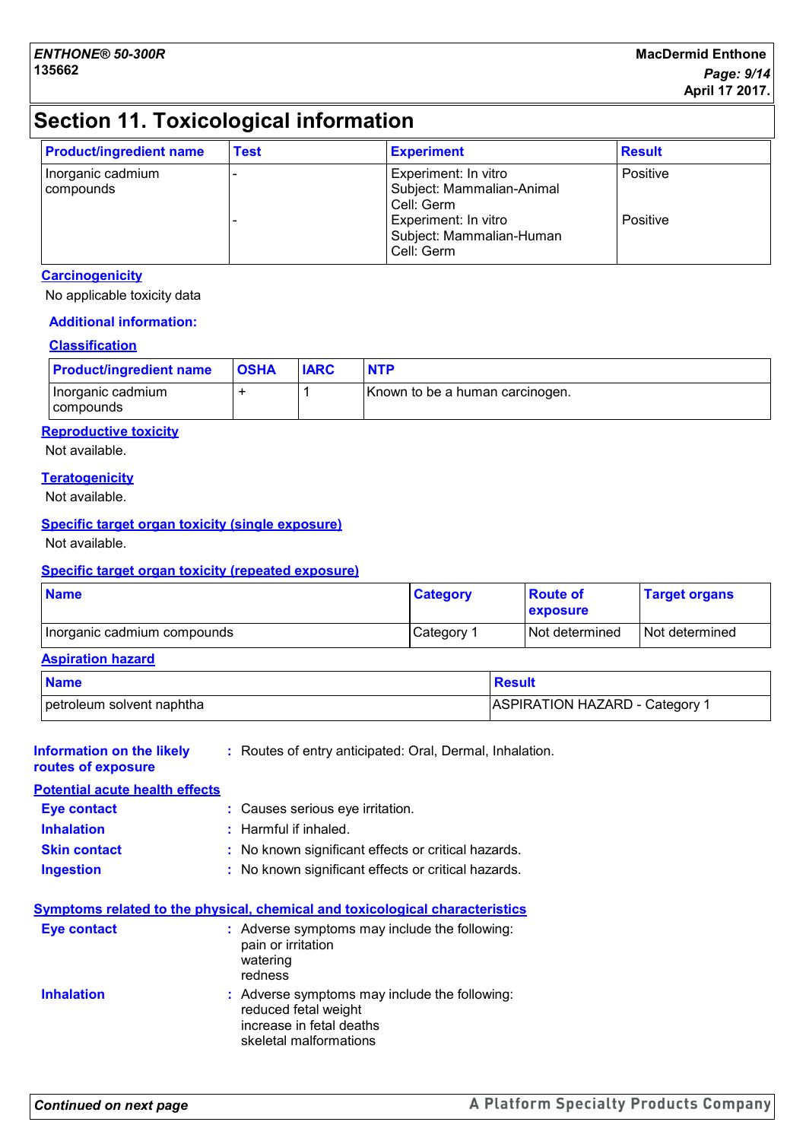# **Section 11. Toxicological information**

| <b>Product/ingredient name</b> | <b>Test</b> | <b>Experiment</b>                                                                                                                 | <b>Result</b>               |
|--------------------------------|-------------|-----------------------------------------------------------------------------------------------------------------------------------|-----------------------------|
| Inorganic cadmium<br>compounds |             | Experiment: In vitro<br>Subject: Mammalian-Animal<br>Cell: Germ<br>Experiment: In vitro<br>Subject: Mammalian-Human<br>Cell: Germ | <b>Positive</b><br>Positive |

#### **Carcinogenicity**

No applicable toxicity data

#### **Additional information:**

#### **Classification**

| <b>Product/ingredient name</b> | <b>OSHA</b> | <b>IARC</b> | <b>NTP</b>                      |
|--------------------------------|-------------|-------------|---------------------------------|
| Inorganic cadmium<br>compounds |             |             | Known to be a human carcinogen. |

#### **Reproductive toxicity**

Not available.

#### **Teratogenicity**

Not available.

#### **Specific target organ toxicity (single exposure)**

Not available.

#### **Specific target organ toxicity (repeated exposure)**

| <b>Name</b>                 | <b>Category</b> | ∣ Route of<br><b>exposure</b> | <b>Target organs</b> |
|-----------------------------|-----------------|-------------------------------|----------------------|
| Inorganic cadmium compounds | Category 1      | I Not determined              | I Not determined     |

#### **Aspiration hazard**

| <b>Name</b>               | Result                         |
|---------------------------|--------------------------------|
| petroleum solvent naphtha | ASPIRATION HAZARD - Category 1 |

| Information on the likely<br>routes of exposure | : Routes of entry anticipated: Oral, Dermal, Inhalation.                                                                                                                                                                                                                                                  |
|-------------------------------------------------|-----------------------------------------------------------------------------------------------------------------------------------------------------------------------------------------------------------------------------------------------------------------------------------------------------------|
| <b>Potential acute health effects</b>           |                                                                                                                                                                                                                                                                                                           |
| Eye contact                                     | : Causes serious eye irritation.                                                                                                                                                                                                                                                                          |
| <b>Inhalation</b>                               | $:$ Harmful if inhaled.                                                                                                                                                                                                                                                                                   |
| <b>Skin contact</b>                             | : No known significant effects or critical hazards.                                                                                                                                                                                                                                                       |
| <b>Ingestion</b>                                | : No known significant effects or critical hazards.                                                                                                                                                                                                                                                       |
| Eye contact<br><b>Inhalation</b>                | Symptoms related to the physical, chemical and toxicological characteristics<br>: Adverse symptoms may include the following:<br>pain or irritation<br>watering<br>redness<br>: Adverse symptoms may include the following:<br>reduced fetal weight<br>increase in fetal deaths<br>skeletal malformations |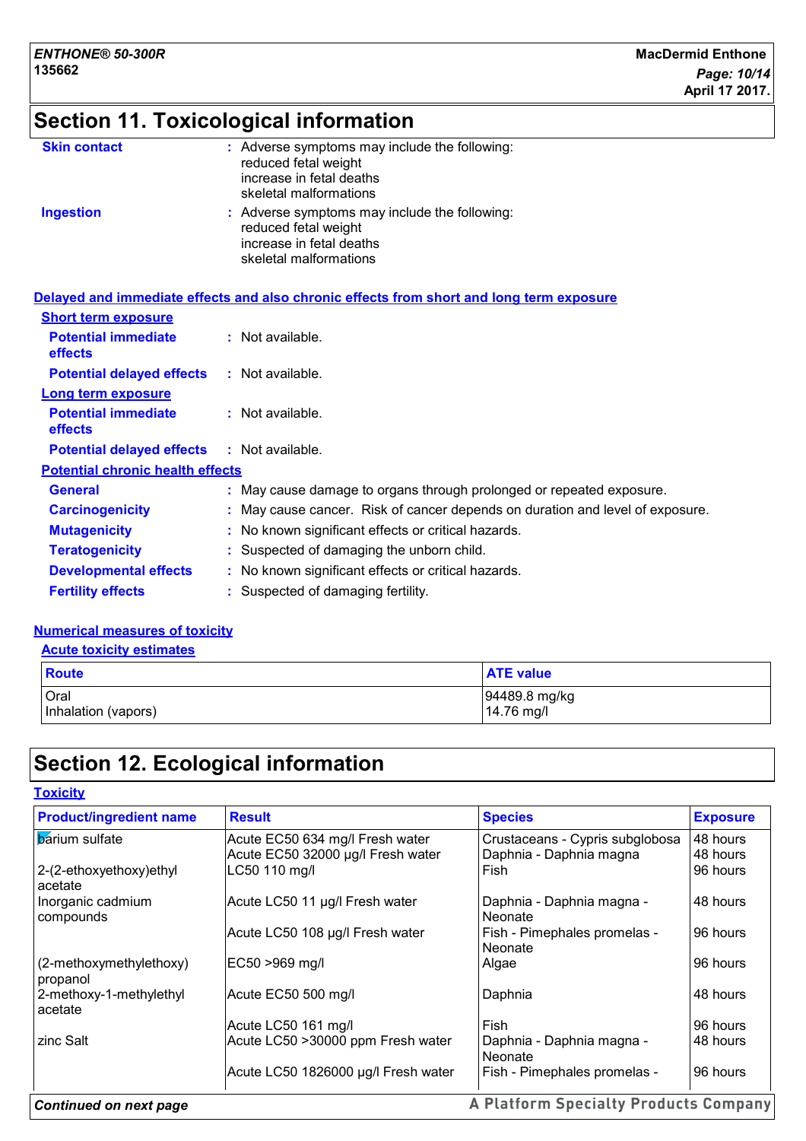# **Section 11. Toxicological information**

| <b>Skin contact</b> | : Adverse symptoms may include the following:<br>reduced fetal weight<br>increase in fetal deaths<br>skeletal malformations |
|---------------------|-----------------------------------------------------------------------------------------------------------------------------|
| <b>Ingestion</b>    | : Adverse symptoms may include the following:<br>reduced fetal weight<br>increase in fetal deaths<br>skeletal malformations |

|                                              | Delayed and immediate effects and also chronic effects from short and long term exposure |
|----------------------------------------------|------------------------------------------------------------------------------------------|
| <b>Short term exposure</b>                   |                                                                                          |
| <b>Potential immediate</b><br><b>effects</b> | $:$ Not available.                                                                       |
| <b>Potential delayed effects</b>             | $:$ Not available.                                                                       |
| Long term exposure                           |                                                                                          |
| <b>Potential immediate</b><br><b>effects</b> | $:$ Not available.                                                                       |
| <b>Potential delayed effects</b>             | : Not available.                                                                         |
| <b>Potential chronic health effects</b>      |                                                                                          |
| <b>General</b>                               | : May cause damage to organs through prolonged or repeated exposure.                     |
| <b>Carcinogenicity</b>                       | : May cause cancer. Risk of cancer depends on duration and level of exposure.            |
| <b>Mutagenicity</b>                          | : No known significant effects or critical hazards.                                      |
| <b>Teratogenicity</b>                        | : Suspected of damaging the unborn child.                                                |
| <b>Developmental effects</b>                 | : No known significant effects or critical hazards.                                      |
| <b>Fertility effects</b>                     | : Suspected of damaging fertility.                                                       |

#### **Numerical measures of toxicity**

| <b>Acute toxicity estimates</b> |
|---------------------------------|
|---------------------------------|

| <b>Route</b>        | <b>ATE value</b> |
|---------------------|------------------|
| Oral                | 94489.8 mg/kg    |
| Inhalation (vapors) | 14.76 mg/l       |

# **Section 12. Ecological information**

| <b>Product/ingredient name</b>      | <b>Result</b>                       | <b>Species</b>                          | <b>Exposure</b> |  |
|-------------------------------------|-------------------------------------|-----------------------------------------|-----------------|--|
| <b>barium</b> sulfate               | Acute EC50 634 mg/l Fresh water     | Crustaceans - Cypris subglobosa         | 48 hours        |  |
|                                     | Acute EC50 32000 µg/l Fresh water   | Daphnia - Daphnia magna                 | 48 hours        |  |
| 2-(2-ethoxyethoxy)ethyl<br>acetate  | LC50 110 mg/l                       | Fish                                    | 96 hours        |  |
| Inorganic cadmium<br>compounds      | Acute LC50 11 µg/l Fresh water      | Daphnia - Daphnia magna -<br>l Neonate  | 48 hours        |  |
|                                     | Acute LC50 108 µg/l Fresh water     | Fish - Pimephales promelas -<br>Neonate | 96 hours        |  |
| (2-methoxymethylethoxy)<br>propanol | EC50 >969 mg/l                      | Algae                                   | 96 hours        |  |
| 2-methoxy-1-methylethyl<br>acetate  | Acute EC50 500 mg/l                 | Daphnia                                 | 48 hours        |  |
|                                     | Acute LC50 161 mg/l                 | Fish                                    | 96 hours        |  |
| zinc Salt                           | Acute LC50 >30000 ppm Fresh water   | Daphnia - Daphnia magna -<br>l Neonate  | 48 hours        |  |
|                                     | Acute LC50 1826000 µg/l Fresh water | Fish - Pimephales promelas -            | 96 hours        |  |

#### A Platform Specialty Products Company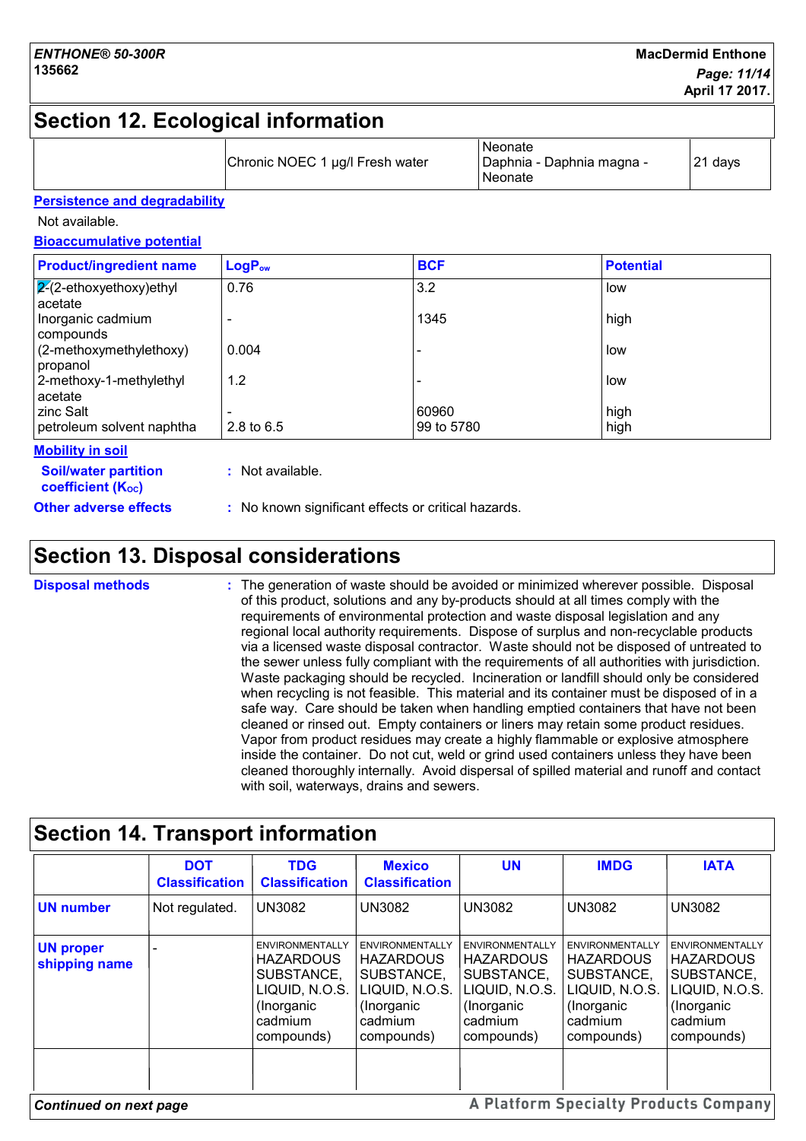## **Section 12. Ecological information**

|  |  | Chronic NOEC 1 µg/l Fresh water | Neonate<br> Daphnia - Daphnia magna -<br><b>Neonate</b> | 21 days |
|--|--|---------------------------------|---------------------------------------------------------|---------|
|--|--|---------------------------------|---------------------------------------------------------|---------|

#### **Persistence and degradability**

Not available.

**Bioaccumulative potential**

| <b>Product/ingredient name</b>            | LogP <sub>ow</sub> | <b>BCF</b> | <b>Potential</b> |
|-------------------------------------------|--------------------|------------|------------------|
| $\sqrt{2}$ -ethoxyethoxy)ethyl<br>acetate | 0.76               | 3.2        | low              |
| Inorganic cadmium<br>compounds            |                    | 1345       | high             |
| (2-methoxymethylethoxy)<br>propanol       | 0.004              |            | low              |
| 2-methoxy-1-methylethyl<br>acetate        | 1.2                |            | low              |
| zinc Salt                                 |                    | 60960      | high             |
| petroleum solvent naphtha                 | 2.8 to $6.5$       | 99 to 5780 | high             |
| Mobility in eail                          |                    |            |                  |

**Soil/water partition Mobility in soil**

**coefficient (KOC)**

**Other adverse effects** : No known significant effects or critical hazards.

## **Section 13. Disposal considerations**

The generation of waste should be avoided or minimized wherever possible. Disposal of this product, solutions and any by-products should at all times comply with the requirements of environmental protection and waste disposal legislation and any regional local authority requirements. Dispose of surplus and non-recyclable products via a licensed waste disposal contractor. Waste should not be disposed of untreated to the sewer unless fully compliant with the requirements of all authorities with jurisdiction. Waste packaging should be recycled. Incineration or landfill should only be considered when recycling is not feasible. This material and its container must be disposed of in a safe way. Care should be taken when handling emptied containers that have not been cleaned or rinsed out. Empty containers or liners may retain some product residues. Vapor from product residues may create a highly flammable or explosive atmosphere inside the container. Do not cut, weld or grind used containers unless they have been cleaned thoroughly internally. Avoid dispersal of spilled material and runoff and contact with soil, waterways, drains and sewers. **Disposal methods :**

#### **Section 14. Transport information DOT TDG Mexico UN IMDG IATA Classification Classification Classification** Not regulated. UN3082 UN3082 UN3082 **UN number** UN3082 UN3082 ENVIRONMENTALLY ENVIRONMENTALLY ENVIRONMENTALLY ENVIRONMENTALLY FINVIRONMENTALLY **UN proper**  - ENVIRONMENTALLY ENVIRONMENTALLY ENVIRONMENTALLY ENVIRONMENTALLY EN **HAZARDOUS HAZARDOUS HAZARDOUS HAZARDOUS HAZARDOUS shipping name** SUBSTANCE, SUBSTANCE, SUBSTANCE, SUBSTANCE, SUBSTANCE, LIQUID, N.O.S. LIQUID, N.O.S. LIQUID, N.O.S. LIQUID, N.O.S. LIQUID, N.O.S. (Inorganic (Inorganic (Inorganic (Inorganic (Inorganic cadmium cadmium cadmium cadmium cadmium compounds) compounds) compounds) compounds) compounds) **A Platform Specialty Products Company** *Continued on next page*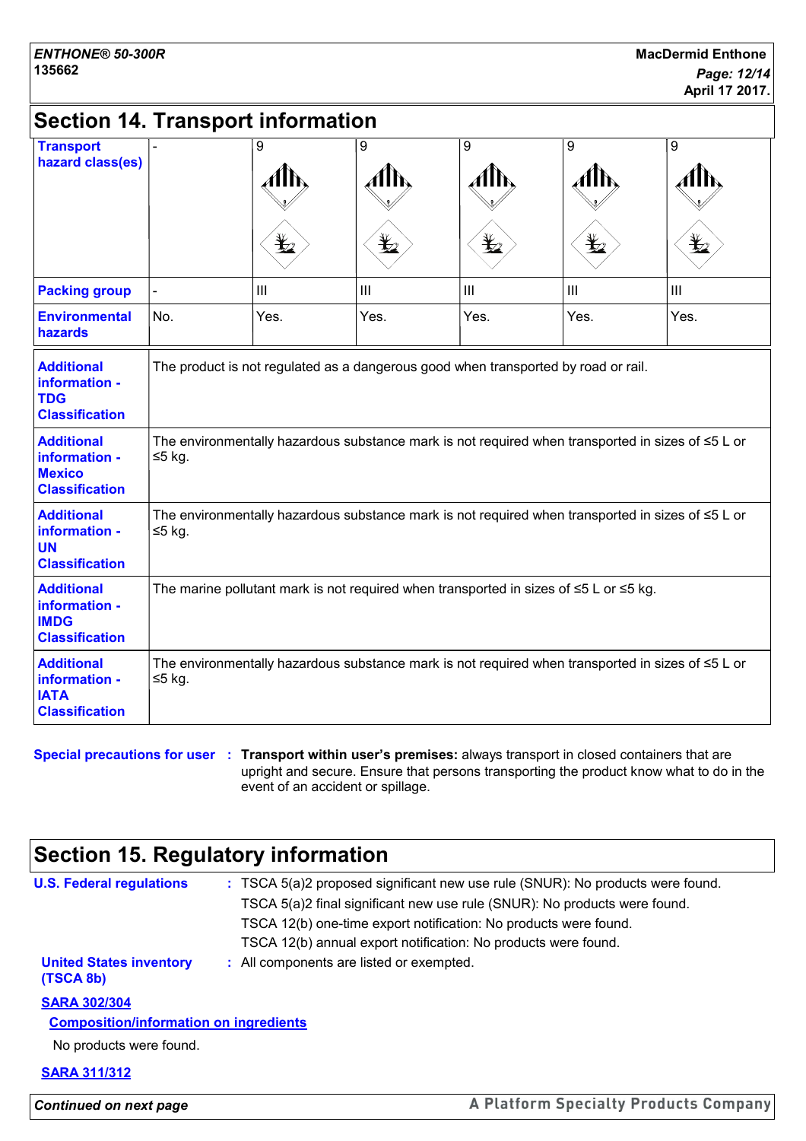# **Section 14. Transport information**

| <b>Transport</b><br>hazard class(es)                                         |                                                                                                                     | 9    | 9    | 9              | 9    | 9              |
|------------------------------------------------------------------------------|---------------------------------------------------------------------------------------------------------------------|------|------|----------------|------|----------------|
|                                                                              |                                                                                                                     |      |      | ⊻              | q    |                |
| <b>Packing group</b>                                                         |                                                                                                                     | III  | III  | $\mathbf{III}$ | III  | $\mathbf{III}$ |
| <b>Environmental</b><br>hazards                                              | No.                                                                                                                 | Yes. | Yes. | Yes.           | Yes. | Yes.           |
| <b>Additional</b><br>information -<br><b>TDG</b><br><b>Classification</b>    | The product is not regulated as a dangerous good when transported by road or rail.                                  |      |      |                |      |                |
| <b>Additional</b><br>information -<br><b>Mexico</b><br><b>Classification</b> | The environmentally hazardous substance mark is not required when transported in sizes of $\leq 5$ L or<br>≤5 kg.   |      |      |                |      |                |
| <b>Additional</b><br>information -<br><b>UN</b><br><b>Classification</b>     | The environmentally hazardous substance mark is not required when transported in sizes of $\leq 5$ L or<br>≤5 kg.   |      |      |                |      |                |
| <b>Additional</b><br>information -<br><b>IMDG</b><br><b>Classification</b>   | The marine pollutant mark is not required when transported in sizes of $\leq 5$ L or $\leq 5$ kg.                   |      |      |                |      |                |
| <b>Additional</b><br>information -<br><b>IATA</b><br><b>Classification</b>   | The environmentally hazardous substance mark is not required when transported in sizes of $\leq 5$ L or<br>$≤5$ kg. |      |      |                |      |                |

#### **Special precautions for user Transport within user's premises:** always transport in closed containers that are **:** upright and secure. Ensure that persons transporting the product know what to do in the event of an accident or spillage.

## **Section 15. Regulatory information**

| <b>U.S. Federal regulations</b>               | : TSCA 5(a)2 proposed significant new use rule (SNUR): No products were found. |
|-----------------------------------------------|--------------------------------------------------------------------------------|
|                                               | TSCA 5(a)2 final significant new use rule (SNUR): No products were found.      |
|                                               | TSCA 12(b) one-time export notification: No products were found.               |
|                                               | TSCA 12(b) annual export notification: No products were found.                 |
| <b>United States inventory</b><br>(TSCA 8b)   | : All components are listed or exempted.                                       |
| <b>SARA 302/304</b>                           |                                                                                |
| <b>Composition/information on ingredients</b> |                                                                                |
| No products were found.                       |                                                                                |
| <b>SARA 311/312</b>                           |                                                                                |

*Continued on next page*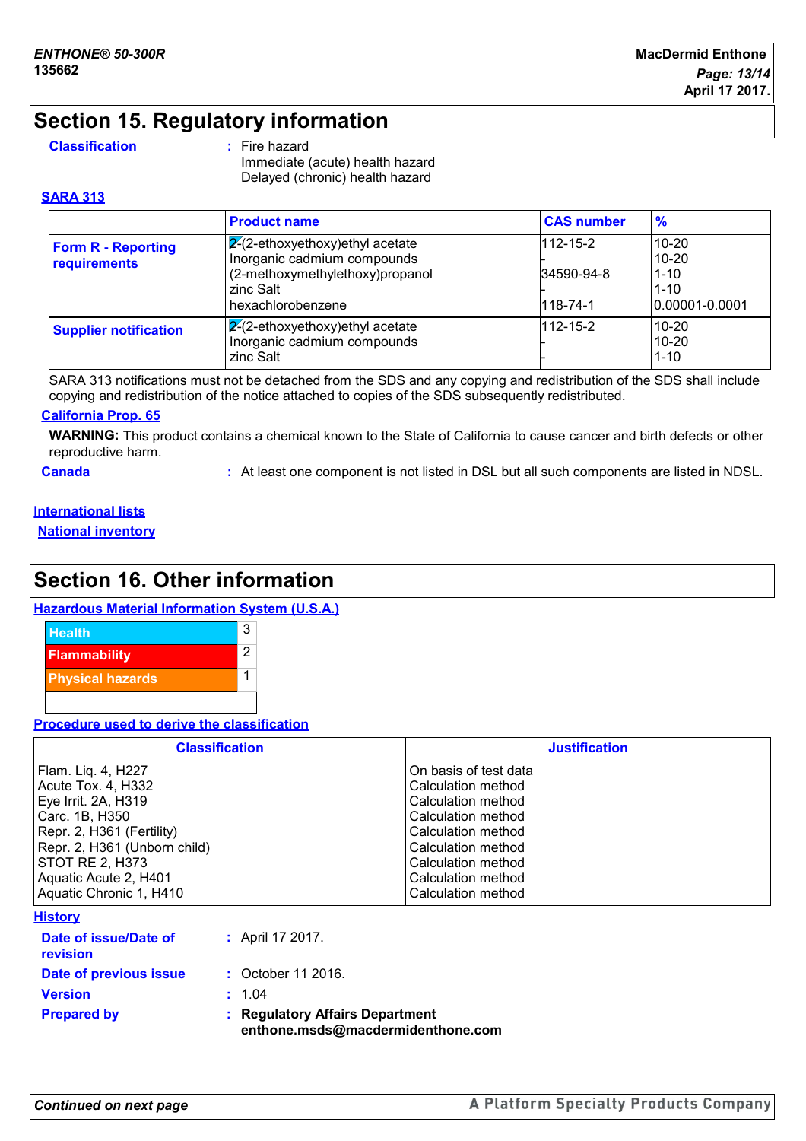## **Section 15. Regulatory information**

#### **Classification :** Fire hazard

Immediate (acute) health hazard Delayed (chronic) health hazard

#### **SARA 313**

|                                           | <b>Product name</b>                                                                                                                    | <b>CAS number</b>                        | $\frac{9}{6}$                                                     |
|-------------------------------------------|----------------------------------------------------------------------------------------------------------------------------------------|------------------------------------------|-------------------------------------------------------------------|
| <b>Form R - Reporting</b><br>requirements | $ 2(2-ethoxyethoxy)$ ethyl acetate<br>Inorganic cadmium compounds<br>(2-methoxymethylethoxy)propanol<br>zinc Salt<br>hexachlorobenzene | $112 - 15 - 2$<br>34590-94-8<br>118-74-1 | $10 - 20$<br>$10 - 20$<br>$1 - 10$<br>$1 - 10$<br>10.00001-0.0001 |
| <b>Supplier notification</b>              | $\mathbb{Z}$ -ethoxyethoxy) ethyl acetate<br>Inorganic cadmium compounds<br>zinc Salt                                                  | $112 - 15 - 2$                           | $10 - 20$<br>$10 - 20$<br>$1 - 10$                                |

SARA 313 notifications must not be detached from the SDS and any copying and redistribution of the SDS shall include copying and redistribution of the notice attached to copies of the SDS subsequently redistributed.

#### **California Prop. 65**

**WARNING:** This product contains a chemical known to the State of California to cause cancer and birth defects or other reproductive harm.

**Canada :** At least one component is not listed in DSL but all such components are listed in NDSL.

#### **International lists**

**National inventory**

## **Section 16. Other information**

#### **Hazardous Material Information System (U.S.A.)**



#### **Procedure used to derive the classification**

| <b>Classification</b>        | <b>Justification</b>  |
|------------------------------|-----------------------|
| Flam. Liq. 4, H227           | On basis of test data |
| Acute Tox. 4, H332           | Calculation method    |
| Eye Irrit. 2A, H319          | Calculation method    |
| Carc. 1B, H350               | Calculation method    |
| Repr. 2, H361 (Fertility)    | Calculation method    |
| Repr. 2, H361 (Unborn child) | Calculation method    |
| STOT RE 2, H373              | Calculation method    |
| Aquatic Acute 2, H401        | Calculation method    |
| Aquatic Chronic 1, H410      | Calculation method    |
| .                            |                       |

#### **History**

| <b>Prepared by</b>                | ÷. | <b>Regulatory Affairs Department</b><br>enthone.msds@macdermidenthone.com |
|-----------------------------------|----|---------------------------------------------------------------------------|
| <b>Version</b>                    |    | : 1.04                                                                    |
| Date of previous issue            |    | : October 11 2016.                                                        |
| Date of issue/Date of<br>revision |    | : April 17 2017.                                                          |
|                                   |    |                                                                           |